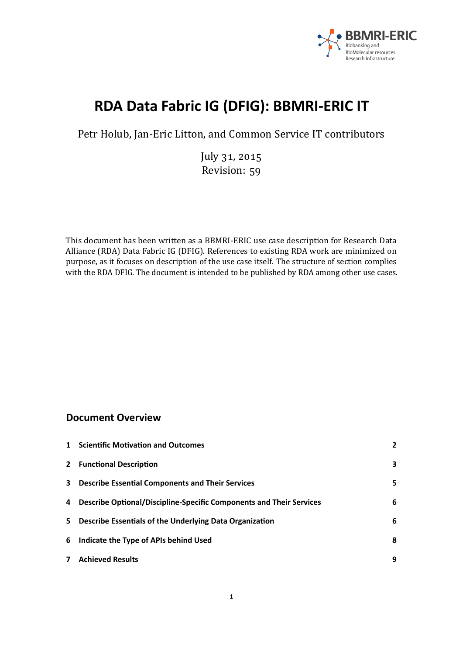

# **RDA Data Fabric IG (DFIG): BBMRI-ERIC IT**

Petr Holub, Jan-Eric Litton, and Common Service IT contributors

July 31, 2015 Revision: 59

This document has been written as a BBMRI-ERIC use case description for Research Data Alliance (RDA) Data Fabric IG (DFIG). References to existing RDA work are minimized on purpose, as it focuses on description of the use case itself. The structure of section complies with the RDA DFIG. The document is intended to be published by RDA among other use cases.

## **Document Overview**

|              | 1 Scientific Motivation and Outcomes                                |   |
|--------------|---------------------------------------------------------------------|---|
| $\mathbf{2}$ | <b>Functional Description</b>                                       | 3 |
| 3            | <b>Describe Essential Components and Their Services</b>             | 5 |
| 4            | Describe Optional/Discipline-Specific Components and Their Services | 6 |
| 5.           | Describe Essentials of the Underlying Data Organization             | 6 |
| 6            | Indicate the Type of APIs behind Used                               | 8 |
| $\mathbf{7}$ | <b>Achieved Results</b>                                             | 9 |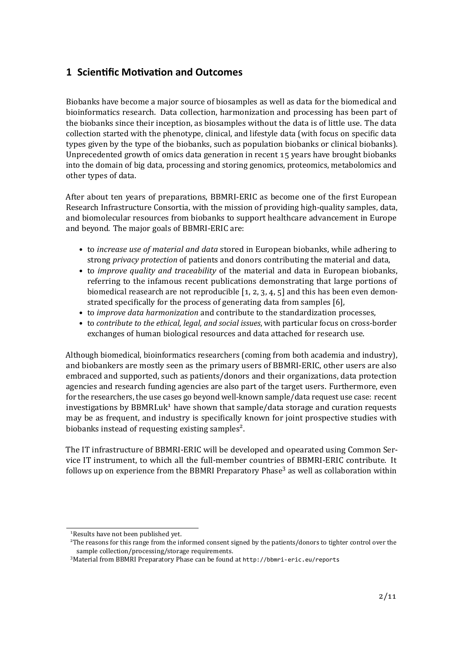## <span id="page-1-0"></span>**1 Scientific Motivation and Outcomes**

Biobanks have become a major source of biosamples as well as data for the biomedical and bioinformatics research. Data collection, harmonization and processing has been part of the biobanks since their inception, as biosamples without the data is of little use. The data collection started with the phenotype, clinical, and lifestyle data (with focus on speciic data types given by the type of the biobanks, such as population biobanks or clinical biobanks). Unprecedented growth of omics data generation in recent 15 years have brought biobanks into the domain of big data, processing and storing genomics, proteomics, metabolomics and other types of data.

After about ten years of preparations, BBMRI-ERIC as become one of the first European Research Infrastructure Consortia, with the mission of providing high-quality samples, data, and biomolecular resources from biobanks to support healthcare advancement in Europe and beyond. The major goals of BBMRI-ERIC are:

- to *increase use of material and data* stored in European biobanks, while adhering to strong *privacy protection* of patients and donors contributing the material and data,
- to *improve quality and traceability* of the material and data in European biobanks, referring to the infamous recent publications demonstrating that large portions of biomedical reasearch are not reproducible  $[1, 2, 3, 4, 5]$  and this has been even demonstrated specifically for the process of generating data from samples [6],
- to *improve data harmonization* and contribute to the standardization processes,
- to *contribute to the ethical, legal, and social issues*, with particular focus on cross-border exchanges of human biological resources and data attached for research use.

Although biomedical, bioinformatics researchers (coming from both academia and industry), and biobankers are mostly seen as the primary users of BBMRI-ERIC, other users are also embraced and supported, such as patients/donors and their organizations, data protection agencies and research funding agencies are also part of the target users. Furthermore, even for the researchers, the use cases go beyond well-known sample/data request use case: recent investigations by BBMRI.uk<sup>1</sup> have shown that sample/data storage and curation requests may be as frequent, and industry is speciically known for joint prospective studies with biobanks instead of requesting existing samples<sup>2</sup>.

The IT infrastructure of BBMRI-ERIC will be developed and opearated using Common Service IT instrument, to which all the full-member countries of BBMRI-ERIC contribute. It follows up on experience from the BBMRI Preparatory Phase<sup>3</sup> as well as collaboration within

<sup>&</sup>lt;sup>1</sup>Results have not been published yet.

<sup>&</sup>lt;sup>2</sup>The reasons for this range from the informed consent signed by the patients/donors to tighter control over the sample collection/processing/storage requirements.

<sup>&</sup>lt;sup>3</sup>Material from BBMRI Preparatory Phase can be found at <http://bbmri-eric.eu/reports>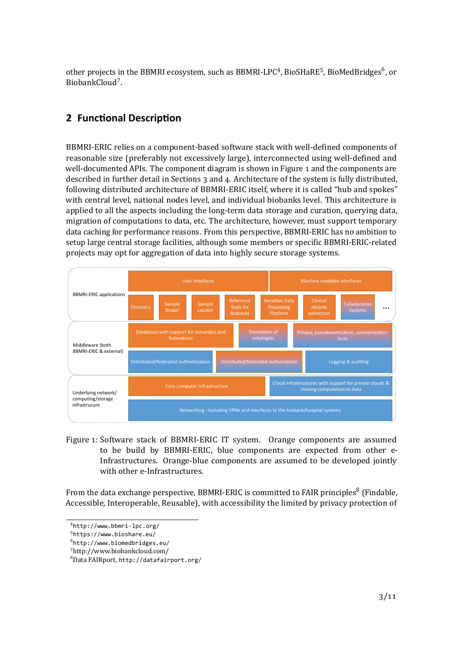other projects in the BBMRI ecosystem, such as BBMRI-LPC<sup>4</sup>, BioSHaRE<sup>5</sup>, BioMedBridges<sup>6</sup>, or BiobankCloud<sup>7</sup>.

# <span id="page-2-0"></span>**2 Func琀onal Descrip琀on**

BBMRI-ERIC relies on a component-based software stack with well-defined components of reasonable size (preferably not excessively large), interconnected using well-deined and well-documented APIs. The component diagram is shown in Figure 1 and the components are described in further detail in Sections 3 and 4. Architecture of the system is fully distributed, following distributed architecture of BBMRI-ERIC itself, where it is called "hub and spokes" with central level, national nodes level, and individual biobanks level. This architecture is applied to all the aspects including the long-term data storage and curation, querying data, migration of computations to data, etc. The architecture, however, must support temporary data caching for performance reasons. From this perspective, BBMRI-ERIC has no ambition to setup large central storage facilities, although some members or speciic BBMRI-ERIC-related projects may opt for aggregation of data into highly secure storage systems.



<span id="page-2-1"></span>Figure 1: Software stack of BBMRI-ERIC IT system. Orange components are assumed to be build by BBMRI-ERIC, blue components are expected from other e-Infrastructures. Orange-blue components are assumed to be developed jointly with other e-Infrastructures.

From the data exchange perspective, BBMRI-ERIC is committed to FAIR principles<sup>8</sup> (Findable, Accessible, Interoperable, Reusable), with accessibility the limited by privacy protection of

<sup>͢</sup> <http://www.bbmri-lpc.org/>

<sup>ͣ</sup> <https://www.bioshare.eu/>

 $^6$ <http://www.biomedbridges.eu/>

<sup>ͥ</sup>http://www.biobankcloud.com/

<sup>ͦ</sup>Data FAIRport, <http://datafairport.org/>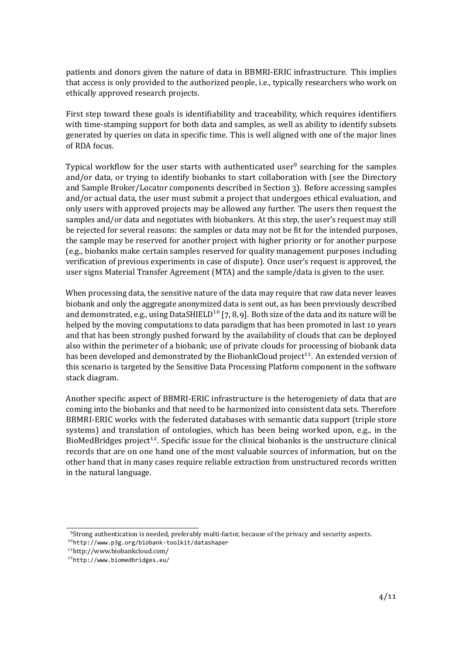patients and donors given the nature of data in BBMRI-ERIC infrastructure. This implies that access is only provided to the authorized people, i.e., typically researchers who work on ethically approved research projects.

First step toward these goals is identifiability and traceability, which requires identifiers with time-stamping support for both data and samples, as well as ability to identify subsets generated by queries on data in speciic time. This is well aligned with one of the major lines of RDA focus.

Typical workflow for the user starts with authenticated user<sup>9</sup> searching for the samples and/or data, or trying to identify biobanks to start collaboration with (see the Directory and Sample Broker/Locator components described in Section [͡\)](#page-4-0). Before accessing samples and/or actual data, the user must submit a project that undergoes ethical evaluation, and only users with approved projects may be allowed any further. The users then request the samples and/or data and negotiates with biobankers. At this step, the user's request may still be rejected for several reasons: the samples or data may not be it for the intended purposes, the sample may be reserved for another project with higher priority or for another purpose (e.g., biobanks make certain samples reserved for quality management purposes including veriication of previous experiments in case of dispute). Once user's request is approved, the user signs Material Transfer Agreement (MTA) and the sample/data is given to the user.

When processing data, the sensitive nature of the data may require that raw data never leaves biobank and only the aggregate anonymized data is sent out, as has been previously described and demonstrated, e.g., using DataSHIELD<sup>10</sup> [7, 8, 9]. Both size of the data and its nature will be helped by the moving computations to data paradigm that has been promoted in last 10 years and that has been strongly pushed forward by the availability of clouds that can be deployed also within the perimeter of a biobank; use of private clouds for processing of biobank data has been developed and demonstrated by the BiobankCloud project<sup>11</sup>. An extended version of this scenario is targeted by the Sensitive Data Processing Platform component in the software stack diagram.

Another speciic aspect of BBMRI-ERIC infrastructure is the heterogeniety of data that are coming into the biobanks and that need to be harmonized into consistent data sets. Therefore BBMRI-ERIC works with the federated databases with semantic data support (triple store systems) and translation of ontologies, which has been being worked upon, e.g., in the BioMedBridges project<sup>12</sup>. Specific issue for the clinical biobanks is the unstructure clinical records that are on one hand one of the most valuable sources of information, but on the other hand that in many cases require reliable extraction from unstructured records written in the natural language.

<sup>ͧ</sup> Strong authentication is needed, preferably multi-factor, because of the privacy and security aspects. ͟͞<http://www.p3g.org/biobank-toolkit/datashaper>

<sup>͟͟</sup>http://www.biobankcloud.com/

<sup>͟͠</sup><http://www.biomedbridges.eu/>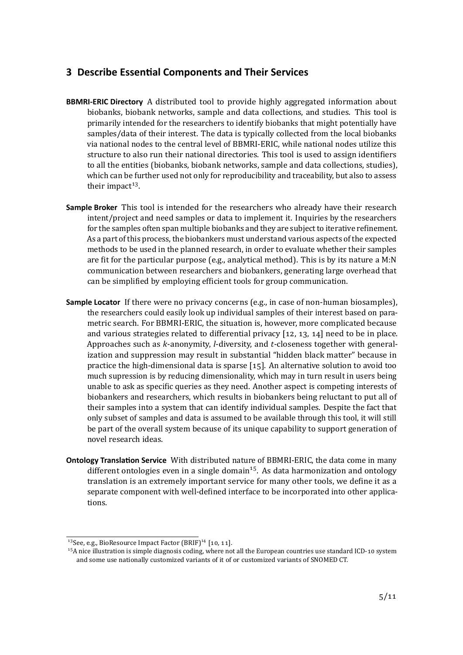## <span id="page-4-0"></span>**3 Describe Essen琀al Components and Their Services**

- **BBMRI-ERIC Directory** A distributed tool to provide highly aggregated information about biobanks, biobank networks, sample and data collections, and studies. This tool is primarily intended for the researchers to identify biobanks that might potentially have samples/data of their interest. The data is typically collected from the local biobanks via national nodes to the central level of BBMRI-ERIC, while national nodes utilize this structure to also run their national directories. This tool is used to assign identifiers to all the entities (biobanks, biobank networks, sample and data collections, studies), which can be further used not only for reproducibility and traceability, but also to assess their impact<sup>13</sup>.
- **Sample Broker** This tool is intended for the researchers who already have their research intent/project and need samples or data to implement it. Inquiries by the researchers for the samples often span multiple biobanks and they are subject to iterative reinement. As a part of this process, the biobankers must understand various aspects of the expected methods to be used in the planned research, in order to evaluate whether their samples are it for the particular purpose (e.g., analytical method). This is by its nature a M:N communication between researchers and biobankers, generating large overhead that can be simpliied by employing eficient tools for group communication.
- **Sample Locator** If there were no privacy concerns (e.g., in case of non-human biosamples), the researchers could easily look up individual samples of their interest based on parametric search. For BBMRI-ERIC, the situation is, however, more complicated because and various strategies related to differential privacy  $[12, 13, 14]$  need to be in place. Approaches such as *k*-anonymity, *l*-diversity, and *t*-closeness together with generalization and suppression may result in substantial "hidden black matter" because in practice the high-dimensional data is sparse  $[15]$ . An alternative solution to avoid too much supression is by reducing dimensionality, which may in turn result in users being unable to ask as speciic queries as they need. Another aspect is competing interests of biobankers and researchers, which results in biobankers being reluctant to put all of their samples into a system that can identify individual samples. Despite the fact that only subset of samples and data is assumed to be available through this tool, it will still be part of the overall system because of its unique capability to support generation of novel research ideas.
- **Ontology Translation Service** With distributed nature of BBMRI-ERIC, the data come in many different ontologies even in a single domain<sup>15</sup>. As data harmonization and ontology translation is an extremely important service for many other tools, we deine it as a separate component with well-deined interface to be incorporated into other applications.

 $^{13}$ See, e.g., BioResource Impact Factor (BRIF) $^{14}$  [10, 11].

<sup>&</sup>lt;sup>15</sup>A nice illustration is simple diagnosis coding, where not all the European countries use standard ICD-10 system and some use nationally customized variants of it of or customized variants of SNOMED CT.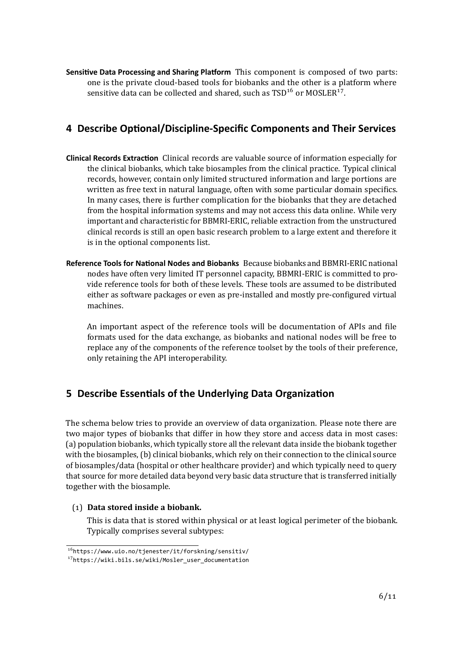Sensitive Data Processing and Sharing Platform This component is composed of two parts: one is the private cloud-based tools for biobanks and the other is a platform where sensitive data can be collected and shared, such as  $\text{TSD}^{\text{16}}$  or MOSLER<sup>17</sup>.

# <span id="page-5-0"></span>**4 Describe Op琀onal/Discipline-Specific Components and Their Services**

- **Clinical Records Extrac琀on** Clinical records are valuable source of information especially for the clinical biobanks, which take biosamples from the clinical practice. Typical clinical records, however, contain only limited structured information and large portions are written as free text in natural language, often with some particular domain specifics. In many cases, there is further complication for the biobanks that they are detached from the hospital information systems and may not access this data online. While very important and characteristic for BBMRI-ERIC, reliable extraction from the unstructured clinical records is still an open basic research problem to a large extent and therefore it is in the optional components list.
- **Reference Tools for Na琀onal Nodes and Biobanks** Because biobanks and BBMRI-ERIC national nodes have often very limited IT personnel capacity, BBMRI-ERIC is committed to provide reference tools for both of these levels. These tools are assumed to be distributed either as software packages or even as pre-installed and mostly pre-conigured virtual machines.

An important aspect of the reference tools will be documentation of APIs and ile formats used for the data exchange, as biobanks and national nodes will be free to replace any of the components of the reference toolset by the tools of their preference, only retaining the API interoperability.

# <span id="page-5-1"></span>**5** Describe Essentials of the Underlying Data Organization

The schema below tries to provide an overview of data organization. Please note there are two major types of biobanks that differ in how they store and access data in most cases: (a) population biobanks, which typically store all the relevant data inside the biobank together with the biosamples, (b) clinical biobanks, which rely on their connection to the clinical source of biosamples/data (hospital or other healthcare provider) and which typically need to query that source for more detailed data beyond very basic data structure that is transferred initially together with the biosample.

### <span id="page-5-2"></span>(͟) **Data stored inside a biobank.**

This is data that is stored within physical or at least logical perimeter of the biobank. Typically comprises several subtypes:

 $16$ <https://www.uio.no/tjenester/it/forskning/sensitiv/>

<sup>17</sup>[https://wiki.bils.se/wiki/Mosler\\_user\\_documentation](https://wiki.bils.se/wiki/Mosler_user_documentation)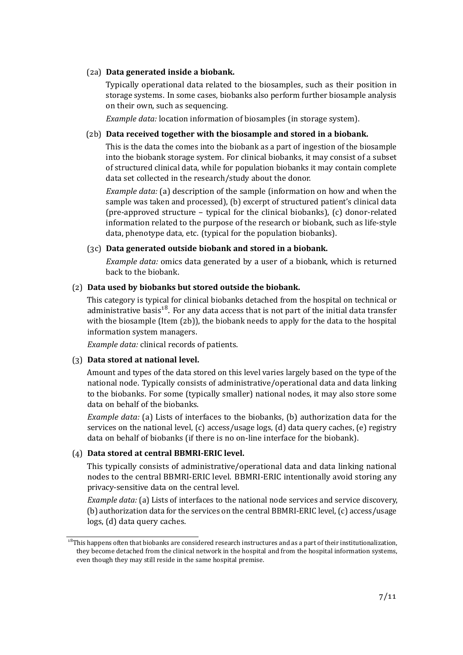#### (͠a) **Data generated inside a biobank.**

Typically operational data related to the biosamples, such as their position in storage systems. In some cases, biobanks also perform further biosample analysis on their own, such as sequencing.

*Example data:* location information of biosamples (in storage system).

#### <span id="page-6-0"></span>(2b) **Data received together with the biosample and stored in a biobank.**

This is the data the comes into the biobank as a part of ingestion of the biosample into the biobank storage system. For clinical biobanks, it may consist of a subset of structured clinical data, while for population biobanks it may contain complete data set collected in the research/study about the donor.

*Example data:* (a) description of the sample (information on how and when the sample was taken and processed), (b) excerpt of structured patient's clinical data (pre-approved structure – typical for the clinical biobanks), (c) donor-related information related to the purpose of the research or biobank, such as life-style data, phenotype data, etc. (typical for the population biobanks).

#### (͡c) **Data generated outside biobank and stored in a biobank.**

*Example data:* omics data generated by a user of a biobank, which is returned back to the biobank.

#### (͠) **Data used by biobanks but stored outside the biobank.**

This category is typical for clinical biobanks detached from the hospital on technical or administrative basis<sup>18</sup>. For any data access that is not part of the initial data transfer with the biosample (Item  $(2b)$ ), the biobank needs to apply for the data to the hospital information system managers.

*Example data:* clinical records of patients.

#### (͡) **Data stored at national level.**

Amount and types of the data stored on this level varies largely based on the type of the national node. Typically consists of administrative/operational data and data linking to the biobanks. For some (typically smaller) national nodes, it may also store some data on behalf of the biobanks.

*Example data:* (a) Lists of interfaces to the biobanks, (b) authorization data for the services on the national level, (c) access/usage logs, (d) data query caches, (e) registry data on behalf of biobanks (if there is no on-line interface for the biobank).

#### <span id="page-6-1"></span>(͢) **Data stored at central BBMRI-ERIC level.**

This typically consists of administrative/operational data and data linking national nodes to the central BBMRI-ERIC level. BBMRI-ERIC intentionally avoid storing any privacy-sensitive data on the central level.

*Example data:* (a) Lists of interfaces to the national node services and service discovery, (b) authorization data for the services on the central BBMRI-ERIC level, (c) access/usage logs, (d) data query caches.

<span id="page-6-2"></span> $18$ This happens often that biobanks are considered research instructures and as a part of their institutionalization, they become detached from the clinical network in the hospital and from the hospital information systems, even though they may still reside in the same hospital premise.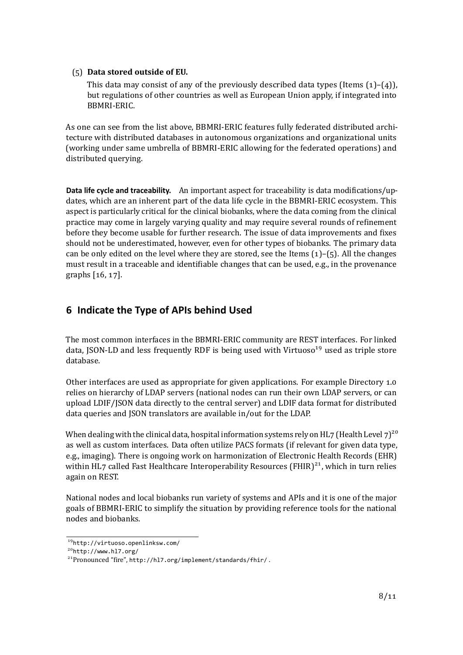#### (ͣ) **Data stored outside of EU.**

This data may consist of any of the previously described data types (Items  $(1)-(4)$ ), but regulations of other countries as well as European Union apply, if integrated into BBMRI-ERIC.

As one can see from the list above, BBMRI-ERIC features fully federated distributed architecture with distributed databases in autonomous organizations and organizational units (working under same umbrella of BBMRI-ERIC allowing for the federated operations) and distributed querying.

Data life cycle and traceability. An important aspect for traceability is data modifications/updates, which are an inherent part of the data life cycle in the BBMRI-ERIC ecosystem. This aspect is particularly critical for the clinical biobanks, where the data coming from the clinical practice may come in largely varying quality and may require several rounds of reinement before they become usable for further research. The issue of data improvements and ixes should not be underestimated, however, even for other types of biobanks. The primary data can be only edited on the level where they are stored, see the Items  $(1)$ – $(5)$ . All the changes must result in a traceable and identifiable changes that can be used, e.g., in the provenance graphs  $[16, 17]$ .

# <span id="page-7-0"></span>**6 Indicate the Type of APIs behind Used**

The most common interfaces in the BBMRI-ERIC community are REST interfaces. For linked data, JSON-LD and less frequently RDF is being used with Virtuoso<sup>19</sup> used as triple store database.

Other interfaces are used as appropriate for given applications. For example Directory 1.0 relies on hierarchy of LDAP servers (national nodes can run their own LDAP servers, or can upload LDIF/JSON data directly to the central server) and LDIF data format for distributed data queries and JSON translators are available in/out for the LDAP.

When dealing with the clinical data, hospital information systems rely on HL7 (Health Level  $7^{20}$ as well as custom interfaces. Data often utilize PACS formats (if relevant for given data type, e.g., imaging). There is ongoing work on harmonization of Electronic Health Records (EHR) within HL $\frac{7}{10}$  called Fast Healthcare Interoperability Resources (FHIR)<sup>21</sup>, which in turn relies again on REST.

National nodes and local biobanks run variety of systems and APIs and it is one of the major goals of BBMRI-ERIC to simplify the situation by providing reference tools for the national nodes and biobanks.

<sup>ͧ͟</sup><http://virtuoso.openlinksw.com/>

<sup>͠͞</sup><http://www.hl7.org/>

<sup>&</sup>lt;sup>21</sup>Pronounced "fire", <http://hl7.org/implement/standards/fhir/>.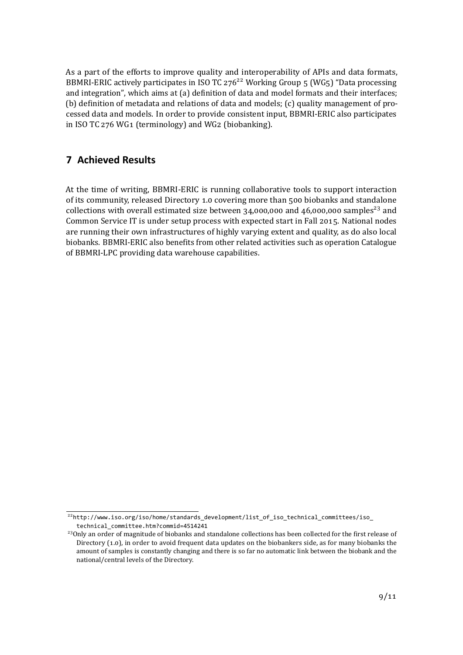As a part of the efforts to improve quality and interoperability of APIs and data formats, BBMRI-ERIC actively participates in ISO TC  $276^{22}$  Working Group  $\frac{1}{5}$  (WG $\frac{1}{5}$ ) "Data processing and integration", which aims at (a) definition of data and model formats and their interfaces; (b) definition of metadata and relations of data and models; (c) quality management of processed data and models. In order to provide consistent input, BBMRI-ERIC also participates in ISO TC 276 WG1 (terminology) and WG2 (biobanking).

## <span id="page-8-0"></span>**7 Achieved Results**

At the time of writing, BBMRI-ERIC is running collaborative tools to support interaction of its community, released Directory 1.0 covering more than 500 biobanks and standalone collections with overall estimated size between  $34,000,000$  and  $46,000,000$  samples<sup>23</sup> and Common Service IT is under setup process with expected start in Fall 2015. National nodes are running their own infrastructures of highly varying extent and quality, as do also local biobanks. BBMRI-ERIC also benefits from other related activities such as operation Catalogue of BBMRI-LPC providing data warehouse capabilities.

<sup>&</sup>lt;sup>22</sup>[http://www.iso.org/iso/home/standards\\_development/list\\_of\\_iso\\_technical\\_committees/iso\\_](http://www.iso.org/iso/home/standards_development/list_of_iso_technical_committees/iso_technical_committee.htm?commid=4514241) [technical\\_committee.htm?commid=4514241](http://www.iso.org/iso/home/standards_development/list_of_iso_technical_committees/iso_technical_committee.htm?commid=4514241)

<sup>&</sup>lt;sup>23</sup>Only an order of magnitude of biobanks and standalone collections has been collected for the first release of Directory (1.0), in order to avoid frequent data updates on the biobankers side, as for many biobanks the amount of samples is constantly changing and there is so far no automatic link between the biobank and the national/central levels of the Directory.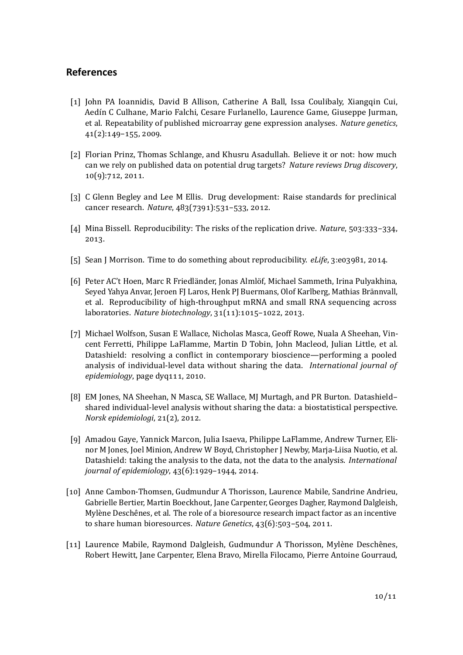## **References**

- <span id="page-9-0"></span>[1] John PA Ioannidis, David B Allison, Catherine A Ball, Issa Coulibaly, Xiangqin Cui, Aedín C Culhane, Mario Falchi, Cesare Furlanello, Laurence Game, Giuseppe Jurman, et al. Repeatability of published microarray gene expression analyses. *Nature genetics*,  $41(2):149-155, 2009.$
- <span id="page-9-1"></span>[2] Florian Prinz, Thomas Schlange, and Khusru Asadullah. Believe it or not: how much can we rely on published data on potential drug targets? *Nature reviews Drug discovery*,  $10(9)$ :712, 2011.
- <span id="page-9-2"></span>[3] C Glenn Begley and Lee M Ellis. Drug development: Raise standards for preclinical cancer research. *Nature*,  $483(7391):531-533$ , 2012.
- <span id="page-9-3"></span>[4] Mina Bissell. Reproducibility: The risks of the replication drive. *Nature*, 503:333-334. 2013.
- <span id="page-9-5"></span><span id="page-9-4"></span>[5] Sean J Morrison. Time to do something about reproducibility. *eLife*, 3:e03981, 2014.
- [6] Peter AC't Hoen, Marc R Friedländer, Jonas Almlöf, Michael Sammeth, Irina Pulyakhina, Seyed Yahya Anvar, Jeroen FJ Laros, Henk PJ Buermans, Olof Karlberg, Mathias Brännvall, et al. Reproducibility of high-throughput mRNA and small RNA sequencing across laboratories. *Nature biotechnology*, 31(11):1015-1022, 2013.
- <span id="page-9-6"></span>[7] Michael Wolfson, Susan E Wallace, Nicholas Masca, Geoff Rowe, Nuala A Sheehan, Vincent Ferretti, Philippe LaFlamme, Martin D Tobin, John Macleod, Julian Little, et al. Datashield: resolving a conflict in contemporary bioscience—performing a pooled analysis of individual-level data without sharing the data. *International journal of epidemiology*, page dyq111, 2010.
- <span id="page-9-7"></span>[8] EM Jones, NA Sheehan, N Masca, SE Wallace, MJ Murtagh, and PR Burton. Datashieldshared individual-level analysis without sharing the data: a biostatistical perspective. *Norsk epidemiologi*, 21(2), 2012.
- <span id="page-9-8"></span>[9] Amadou Gaye, Yannick Marcon, Julia Isaeva, Philippe LaFlamme, Andrew Turner, Elinor M Jones, Joel Minion, Andrew W Boyd, Christopher J Newby, Marja-Liisa Nuotio, et al. Datashield: taking the analysis to the data, not the data to the analysis. *International journal of epidemiology*, 43(6):1929-1944, 2014.
- <span id="page-9-9"></span>[10] Anne Cambon-Thomsen, Gudmundur A Thorisson, Laurence Mabile, Sandrine Andrieu, Gabrielle Bertier, Martin Boeckhout, Jane Carpenter, Georges Dagher, Raymond Dalgleish, Mylène Deschênes, et al. The role of a bioresource research impact factor as an incentive to share human bioresources. *Nature Genetics*, 43(6):503-504, 2011.
- <span id="page-9-10"></span>[11] Laurence Mabile, Raymond Dalgleish, Gudmundur A Thorisson, Mylène Deschênes, Robert Hewitt, Jane Carpenter, Elena Bravo, Mirella Filocamo, Pierre Antoine Gourraud,